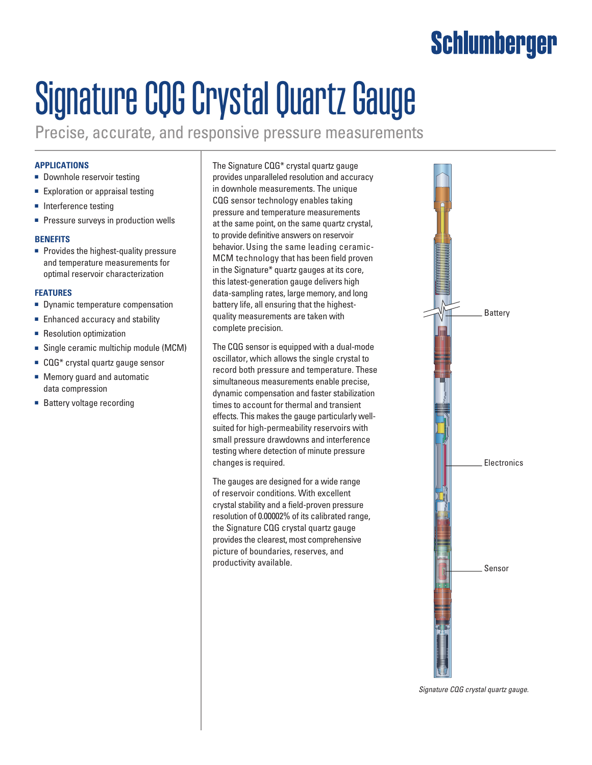## Schlumberger

# Signature CQG Crystal Quartz Gauge

Precise, accurate, and responsive pressure measurements

#### **Applications**

- Downhole reservoir testing
- Exploration or appraisal testing
- Interference testing
- Pressure surveys in production wells

#### **BenefitS**

■ Provides the highest-quality pressure and temperature measurements for optimal reservoir characterization

#### **Features**

- Dynamic temperature compensation
- Enhanced accuracy and stability
- Resolution optimization
- Single ceramic multichip module (MCM)
- CQG<sup>\*</sup> crystal quartz gauge sensor
- Memory guard and automatic data compression
- Battery voltage recording

The Signature CQG\* crystal quartz gauge provides unparalleled resolution and accuracy in downhole measurements. The unique CQG sensor technology enables taking pressure and temperature measurements at the same point, on the same quartz crystal, to provide definitive answers on reservoir behavior. Using the same leading ceramic-MCM technology that has been field proven in the Signature\* quartz gauges at its core, this latest-generation gauge delivers high data-sampling rates, large memory, and long battery life, all ensuring that the highestquality measurements are taken with complete precision.

The CQG sensor is equipped with a dual-mode oscillator, which allows the single crystal to record both pressure and temperature. These simultaneous measurements enable precise, dynamic compensation and faster stabilization times to account for thermal and transient effects. This makes the gauge particularly wellsuited for high-permeability reservoirs with small pressure drawdowns and interference testing where detection of minute pressure changes is required.

The gauges are designed for a wide range of reservoir conditions. With excellent crystal stability and a field-proven pressure resolution of 0.00002% of its calibrated range, the Signature CQG crystal quartz gauge provides the clearest, most comprehensive picture of boundaries, reserves, and productivity available.



*Signature CQG crystal quartz gauge.*